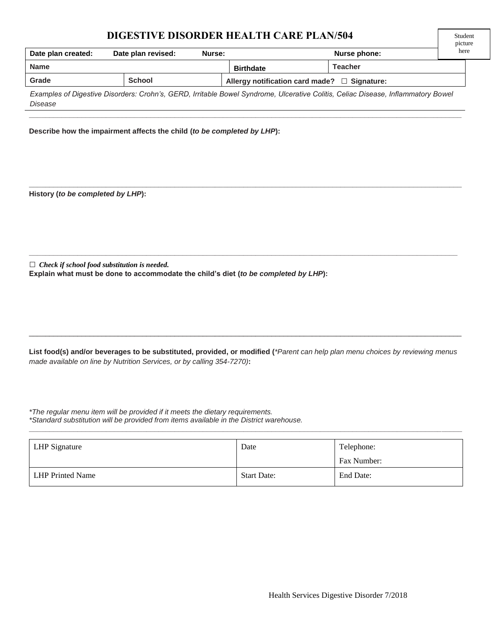## **DIGESTIVE DISORDER HEALTH CARE PLAN/504**

|                      |                    |        |                                                   |                |      | picture |
|----------------------|--------------------|--------|---------------------------------------------------|----------------|------|---------|
| Date plan created:   | Date plan revised: | Nurse: |                                                   | Nurse phone:   | here |         |
| <b>Name</b>          |                    |        | <b>Birthdate</b>                                  | <b>Teacher</b> |      |         |
| Grade                | <b>School</b>      |        | Allergy notification card made? $\Box$ Signature: |                |      |         |
| $\sim$ $\sim$ $\sim$ |                    |        |                                                   |                |      |         |

Student

*Examples of Digestive Disorders: Crohn's, GERD, Irritable Bowel Syndrome, Ulcerative Colitis, Celiac Disease, Inflammatory Bowel Disease*

**\_\_\_\_\_\_\_\_\_\_\_\_\_\_\_\_\_\_\_\_\_\_\_\_\_\_\_\_\_\_\_\_\_\_\_\_\_\_\_\_\_\_\_\_\_\_\_\_\_\_\_\_\_\_\_\_\_\_\_\_\_\_\_\_\_\_\_\_\_\_\_\_\_\_\_\_\_\_\_\_\_\_\_\_\_\_\_\_\_\_\_\_\_\_\_\_\_\_\_\_\_\_\_\_\_\_\_**

**\_\_\_\_\_\_\_\_\_\_\_\_\_\_\_\_\_\_\_\_\_\_\_\_\_\_\_\_\_\_\_\_\_\_\_\_\_\_\_\_\_\_\_\_\_\_\_\_\_\_\_\_\_\_\_\_\_\_\_\_\_\_\_\_\_\_\_\_\_\_\_\_\_\_\_\_\_\_\_\_\_\_\_\_\_\_\_\_\_\_\_\_\_\_\_\_\_\_\_\_\_\_\_\_\_\_\_**

**\_\_\_\_\_\_\_\_\_\_\_\_\_\_\_\_\_\_\_\_\_\_\_\_\_\_\_\_\_\_\_\_\_\_\_\_\_\_\_\_\_\_\_\_\_\_\_\_\_\_\_\_\_\_\_\_\_\_\_\_\_\_\_\_\_\_\_\_\_\_\_\_\_\_\_\_\_\_\_\_\_\_\_\_\_\_\_\_\_\_\_\_\_\_\_\_\_\_\_\_\_\_\_\_\_\_**

**Describe how the impairment affects the child (***to be completed by LHP***):**

**History (***to be completed by LHP***):** 

**□** *Check if school food substitution is needed.* **Explain what must be done to accommodate the child's diet (***to be completed by LHP***):**

**List food(s) and/or beverages to be substituted, provided, or modified (***\*Parent can help plan menu choices by reviewing menus made available on line by Nutrition Services, or by calling 354-7270)***:**

\_\_\_\_\_\_\_\_\_\_\_\_\_\_\_\_\_\_\_\_\_\_\_\_\_\_\_\_\_\_\_\_\_\_\_\_\_\_\_\_\_\_\_\_\_\_\_\_\_\_\_\_\_\_\_\_\_\_\_\_\_\_\_\_\_\_\_\_\_\_\_\_\_\_\_\_\_\_\_\_\_\_\_\_\_\_\_\_\_\_\_\_\_\_\_\_\_\_\_\_\_\_\_\_\_\_\_

*\*The regular menu item will be provided if it meets the dietary requirements. \*Standard substitution will be provided from items available in the District warehouse.*

| <b>LHP</b> Signature | Date               | Telephone:  |
|----------------------|--------------------|-------------|
|                      |                    | Fax Number: |
| LHP Printed Name     | <b>Start Date:</b> | End Date:   |

**\_\_\_\_\_\_\_\_\_\_\_\_\_\_\_\_\_\_\_\_\_\_\_\_\_\_\_\_\_\_\_\_\_\_\_\_\_\_\_\_\_\_\_\_\_\_\_\_\_\_\_\_\_\_\_\_\_\_\_\_\_\_\_\_\_\_\_\_\_\_\_\_\_\_\_\_\_\_\_\_\_\_\_\_\_\_\_\_\_\_\_\_\_\_\_\_\_\_\_\_\_\_\_\_\_\_\_**